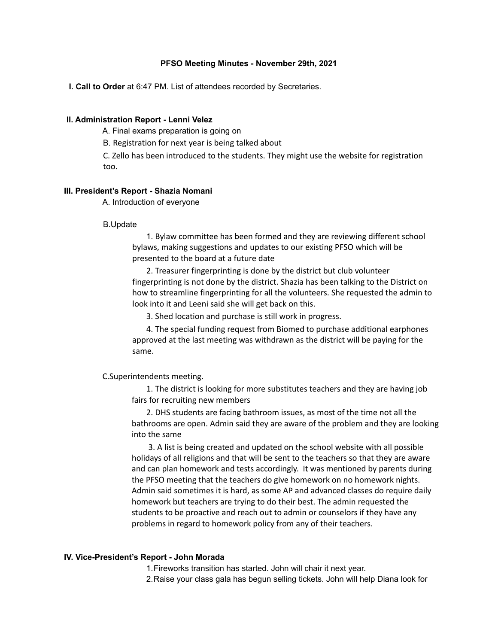## **PFSO Meeting Minutes - November 29th, 2021**

**I. Call to Order** at 6:47 PM. List of attendees recorded by Secretaries.

### **II. Administration Report - Lenni Velez**

A. Final exams preparation is going on

B. Registration for next year is being talked about

C. Zello has been introduced to the students. They might use the website for registration too.

#### **III. President's Report - Shazia Nomani**

A. Introduction of everyone

### B.Update

1. Bylaw committee has been formed and they are reviewing different school bylaws, making suggestions and updates to our existing PFSO which will be presented to the board at a future date

2. Treasurer fingerprinting is done by the district but club volunteer fingerprinting is not done by the district. Shazia has been talking to the District on how to streamline fingerprinting for all the volunteers. She requested the admin to look into it and Leeni said she will get back on this.

3. Shed location and purchase is still work in progress.

4. The special funding request from Biomed to purchase additional earphones approved at the last meeting was withdrawn as the district will be paying for the same.

### C.Superintendents meeting.

1. The district is looking for more substitutes teachers and they are having job fairs for recruiting new members

2. DHS students are facing bathroom issues, as most of the time not all the bathrooms are open. Admin said they are aware of the problem and they are looking into the same

3. A list is being created and updated on the school website with all possible holidays of all religions and that will be sent to the teachers so that they are aware and can plan homework and tests accordingly. It was mentioned by parents during the PFSO meeting that the teachers do give homework on no homework nights. Admin said sometimes it is hard, as some AP and advanced classes do require daily homework but teachers are trying to do their best. The admin requested the students to be proactive and reach out to admin or counselors if they have any problems in regard to homework policy from any of their teachers.

#### **IV. Vice-President's Report - John Morada**

1.Fireworks transition has started. John will chair it next year.

2.Raise your class gala has begun selling tickets. John will help Diana look for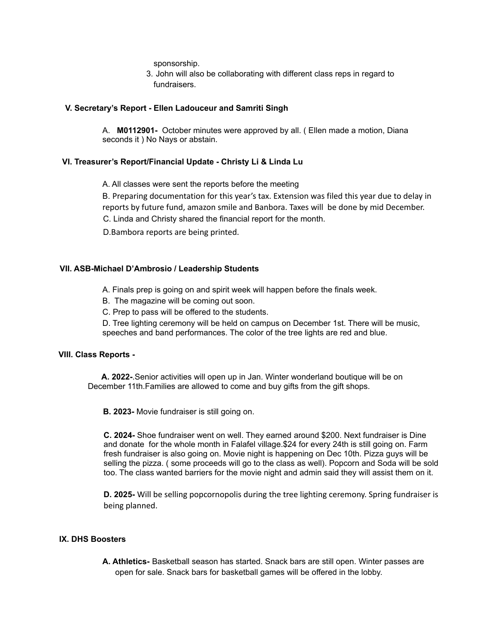sponsorship.

3. John will also be collaborating with different class reps in regard to fundraisers.

## **V. Secretary's Report - Ellen Ladouceur and Samriti Singh**

A. **M0112901-** October minutes were approved by all. ( Ellen made a motion, Diana seconds it ) No Nays or abstain.

# **VI. Treasurer's Report/Financial Update - Christy Li & Linda Lu**

A. All classes were sent the reports before the meeting

B. Preparing documentation for this year's tax. Extension was filed this year due to delay in reports by future fund, amazon smile and Banbora. Taxes will be done by mid December. C. Linda and Christy shared the financial report for the month.

D.Bambora reports are being printed.

# **VII. ASB-Michael D'Ambrosio / Leadership Students**

A. Finals prep is going on and spirit week will happen before the finals week.

B. The magazine will be coming out soon.

C. Prep to pass will be offered to the students.

D. Tree lighting ceremony will be held on campus on December 1st. There will be music, speeches and band performances. The color of the tree lights are red and blue.

## **VIII. Class Reports -**

**A. 2022-**.Senior activities will open up in Jan. Winter wonderland boutique will be on December 11th.Families are allowed to come and buy gifts from the gift shops.

**B. 2023-** Movie fundraiser is still going on.

**C. 2024-** Shoe fundraiser went on well. They earned around \$200. Next fundraiser is Dine and donate for the whole month in Falafel village.\$24 for every 24th is still going on. Farm fresh fundraiser is also going on. Movie night is happening on Dec 10th. Pizza guys will be selling the pizza. ( some proceeds will go to the class as well). Popcorn and Soda will be sold too. The class wanted barriers for the movie night and admin said they will assist them on it.

**D. 2025-** Will be selling popcornopolis during the tree lighting ceremony. Spring fundraiser is being planned.

## **IX. DHS Boosters**

**A. Athletics-** Basketball season has started. Snack bars are still open. Winter passes are open for sale. Snack bars for basketball games will be offered in the lobby.